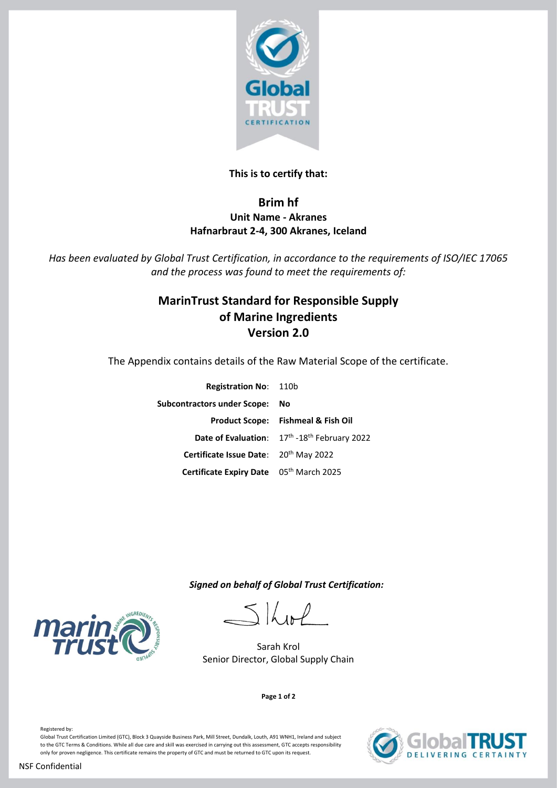

## **This is to certify that:**

# **Brim hf Unit Name - Akranes Hafnarbraut 2-4, 300 Akranes, Iceland**

*Has been evaluated by Global Trust Certification, in accordance to the requirements of ISO/IEC 17065 and the process was found to meet the requirements of:*

# **MarinTrust Standard for Responsible Supply of Marine Ingredients Version 2.0**

The Appendix contains details of the Raw Material Scope of the certificate.

| <b>Registration No: 110b</b>            |                                               |
|-----------------------------------------|-----------------------------------------------|
| Subcontractors under Scope: No          |                                               |
|                                         | <b>Product Scope: Fishmeal &amp; Fish Oil</b> |
|                                         | Date of Evaluation: 17th -18th February 2022  |
| Certificate Issue Date: 20th May 2022   |                                               |
| Certificate Expiry Date 05th March 2025 |                                               |

 *Signed on behalf of Global Trust Certification:*

 $5$ *K* 

Sarah Krol Senior Director, Global Supply Chain





**mari**<br>Tru

Registered by: Global Trust Certification Limited (GTC), Block 3 Quayside Business Park, Mill Street, Dundalk, Louth, A91 WNH1, Ireland and subject to the GTC Terms & Conditions. While all due care and skill was exercised in carrying out this assessment, GTC accepts responsibility only for proven negligence. This certificate remains the property of GTC and must be returned to GTC upon its request.